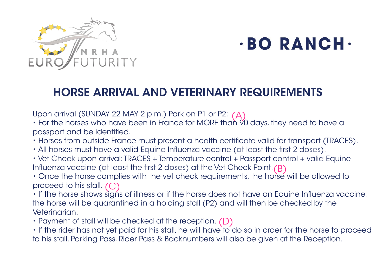

## $\cdot$ BO RANCH $\cdot$

## HORSE ARRIVAL AND VETERINARY REQUIREMENTS

Upon arrival (SUNDAY 22 MAY 2 p.m.) Park on P1 or P2:

Upon arrival (SUNDAY 22 MAY 2 p.m.) Park on PT or P2: (A)<br>• For the horses who have been in France for MORE than 90 days, they need to have a . passport and be identifed.

- Horses from outside France must present a health certifcate valid for transport (TRACES).
- All horses must have a valid Equine Influenza vaccine (at least the first 2 doses).
- Vet Check upon arrival: TRACES + Temperature control + Passport control + valid Equine Infuenza vaccine (at least the frst 2 doses) at the Vet Check Point. (B)
- Once the horse complies with the vet check requirements, the horse will be allowed to proceed to his stall. (C)

• If the horse shows signs of illness or if the horse does not have an Equine Influenza vaccine, the horse will be quarantined in a holding stall (P2) and will then be checked by the Veterinarian.

• Payment of stall will be checked at the reception.  $(D)$ 

• If the rider has not yet paid for his stall, he will have to do so in order for the horse to proceed to his stall. Parking Pass, Rider Pass & Backnumbers will also be given at the Reception.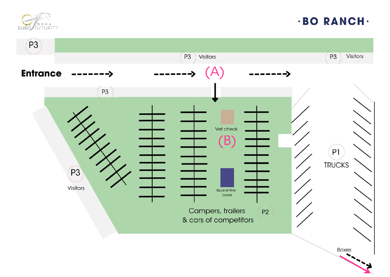

## **·BO RANCH·**